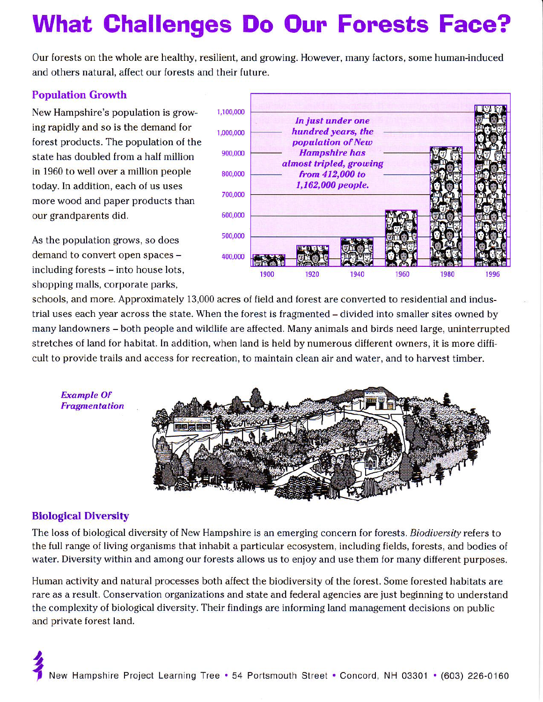# What Ghallenges Do Oun Forests Face?

Our forests on the whole are healthy, resilient, and growing. However, many factors, some human-induced and others natural, affect our forests and their future.

#### Population Growth

New Hampshire's population is grow- 1,100,000 ing rapidly and so is the demand for  $r_{1,000,000}$ forest products. The population of the state has doubled from a half million  $900,000$ in 1960 to well over a million people  $\frac{800,000}{800,000}$ today. In addition, each of us uses more wood and paper products than our grandparents did. 600,000

As the population grows, so does 500,000 demand to convert open spaces  $400,000$ including forests - into house lots, shopping malls, corporate parks,



schools, and more. Approximately 13,000 acres of field and forest are converted to residential and industrial uses each year across the state. When the forest is fragmented - divided into smaller sites owned by many landowners – both people and wildlife are affected. Many animals and birds need large, uninterrupted stretches of land for habitat. In addition, when land is held by numerous different owners, it is more difficult to provide trails and access for recreation, to maintain clean air and water, and to harvest timber.



#### **Biological Diversity**

Example Of **Fragmentation** 

The loss of biological diversity of New Hampshire is an emerging concern for forests. Biodiversity refers to the full range of living organisms that inhabit a particular ecosystem, including fields, forests, and bodies of water. Diversity within and among our forests allows us to enjoy and use them for many different purposes.

Human activity and natural processes both affect the biodiversity of the forest. Some forested habitats are rare as a result. Conservation organizations and state and federal agencies are just beginning to understand the complexity of biological diversity. Their findings are informing land management decisions on public and private forest land.